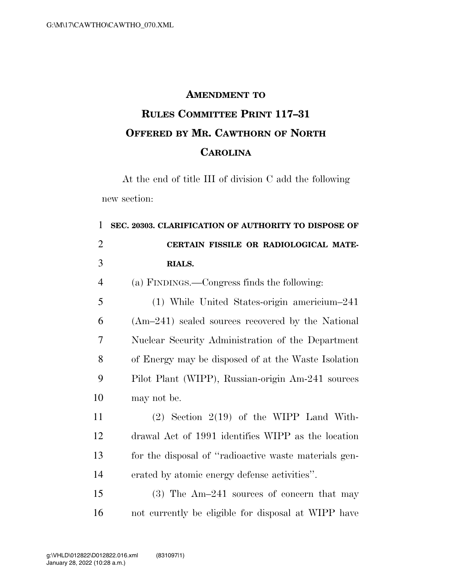## **AMENDMENT TO**

## **RULES COMMITTEE PRINT 117–31 OFFERED BY MR. CAWTHORN OF NORTH CAROLINA**

At the end of title III of division C add the following new section:

 **SEC. 20303. CLARIFICATION OF AUTHORITY TO DISPOSE OF CERTAIN FISSILE OR RADIOLOGICAL MATE- RIALS.**  (a) FINDINGS.—Congress finds the following: (1) While United States-origin americium–241 (Am–241) sealed sources recovered by the National Nuclear Security Administration of the Department of Energy may be disposed of at the Waste Isolation Pilot Plant (WIPP), Russian-origin Am-241 sources may not be. (2) Section 2(19) of the WIPP Land With- drawal Act of 1991 identifies WIPP as the location for the disposal of ''radioactive waste materials gen- erated by atomic energy defense activities''. (3) The Am–241 sources of concern that may

not currently be eligible for disposal at WIPP have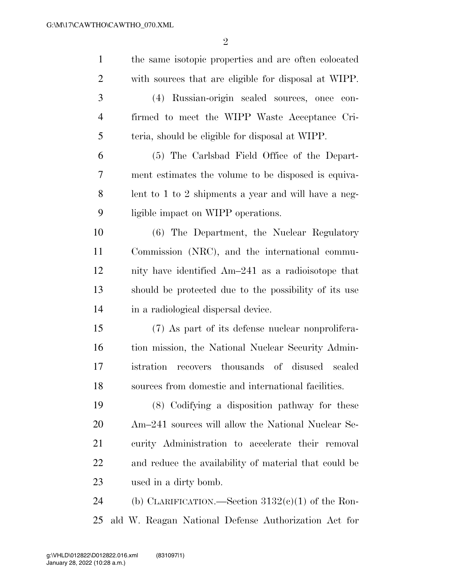| $\mathbf{1}$   | the same isotopic properties and are often colocated  |
|----------------|-------------------------------------------------------|
| $\overline{2}$ | with sources that are eligible for disposal at WIPP.  |
| 3              | (4) Russian-origin sealed sources, once<br>con-       |
| $\overline{4}$ | firmed to meet the WIPP Waste Acceptance Cri-         |
| 5              | teria, should be eligible for disposal at WIPP.       |
| 6              | (5) The Carlsbad Field Office of the Depart-          |
| 7              | ment estimates the volume to be disposed is equiva-   |
| 8              | lent to 1 to 2 shipments a year and will have a neg-  |
| 9              | ligible impact on WIPP operations.                    |
| 10             | (6) The Department, the Nuclear Regulatory            |
| 11             | Commission (NRC), and the international commu-        |
| 12             | nity have identified Am-241 as a radioisotope that    |
| 13             | should be protected due to the possibility of its use |
| 14             | in a radiological dispersal device.                   |
| 15             | (7) As part of its defense nuclear nonprolifera-      |
| 16             | tion mission, the National Nuclear Security Admin-    |
| 17             | istration recovers thousands of disused sealed        |
| 18             | sources from domestic and international facilities.   |
| 19             | (8) Codifying a disposition pathway for these         |
| 20             | Am-241 sources will allow the National Nuclear Se-    |
| 21             | curity Administration to accelerate their removal     |
| 22             | and reduce the availability of material that could be |
| 23             | used in a dirty bomb.                                 |
| 24             | (b) CLARIFICATION.—Section $3132(e)(1)$ of the Ron-   |
| 25             | ald W. Reagan National Defense Authorization Act for  |